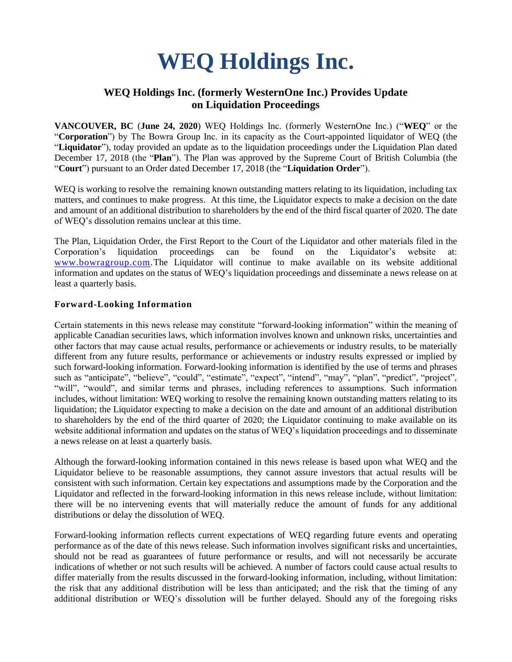# **WEQ Holdings Inc.**

## **WEQ Holdings Inc. (formerly WesternOne Inc.) Provides Update on Liquidation Proceedings**

**VANCOUVER, BC** (**June 24, 2020**) WEQ Holdings Inc. (formerly WesternOne Inc.) ("**WEQ**" or the "**Corporation**") by The Bowra Group Inc. in its capacity as the Court-appointed liquidator of WEQ (the "**Liquidator**"), today provided an update as to the liquidation proceedings under the Liquidation Plan dated December 17, 2018 (the "**Plan**"). The Plan was approved by the Supreme Court of British Columbia (the "**Court**") pursuant to an Order dated December 17, 2018 (the "**Liquidation Order**").

WEQ is working to resolve the remaining known outstanding matters relating to its liquidation, including tax matters, and continues to make progress. At this time, the Liquidator expects to make a decision on the date and amount of an additional distribution to shareholders by the end of the third fiscal quarter of 2020. The date of WEQ's dissolution remains unclear at this time.

The Plan, Liquidation Order, the First Report to the Court of the Liquidator and other materials filed in the Corporation's liquidation proceedings can be found on the Liquidator's website at: [www.bowragroup.com.](http://www.bowragroup.com/)The Liquidator will continue to make available on its website additional information and updates on the status of WEQ's liquidation proceedings and disseminate a news release on at least a quarterly basis.

#### **Forward-Looking Information**

Certain statements in this news release may constitute "forward-looking information" within the meaning of applicable Canadian securities laws, which information involves known and unknown risks, uncertainties and other factors that may cause actual results, performance or achievements or industry results, to be materially different from any future results, performance or achievements or industry results expressed or implied by such forward-looking information. Forward-looking information is identified by the use of terms and phrases such as "anticipate", "believe", "could", "estimate", "expect", "intend", "may", "plan", "predict", "project", "will", "would", and similar terms and phrases, including references to assumptions. Such information includes, without limitation: WEQ working to resolve the remaining known outstanding matters relating to its liquidation; the Liquidator expecting to make a decision on the date and amount of an additional distribution to shareholders by the end of the third quarter of 2020; the Liquidator continuing to make available on its website additional information and updates on the status of WEQ's liquidation proceedings and to disseminate a news release on at least a quarterly basis.

Although the forward-looking information contained in this news release is based upon what WEQ and the Liquidator believe to be reasonable assumptions, they cannot assure investors that actual results will be consistent with such information. Certain key expectations and assumptions made by the Corporation and the Liquidator and reflected in the forward-looking information in this news release include, without limitation: there will be no intervening events that will materially reduce the amount of funds for any additional distributions or delay the dissolution of WEQ.

Forward-looking information reflects current expectations of WEQ regarding future events and operating performance as of the date of this news release. Such information involves significant risks and uncertainties, should not be read as guarantees of future performance or results, and will not necessarily be accurate indications of whether or not such results will be achieved. A number of factors could cause actual results to differ materially from the results discussed in the forward-looking information, including, without limitation: the risk that any additional distribution will be less than anticipated; and the risk that the timing of any additional distribution or WEQ's dissolution will be further delayed. Should any of the foregoing risks